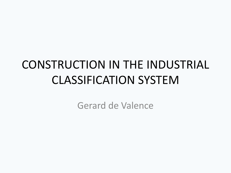#### CONSTRUCTION IN THE INDUSTRIAL CLASSIFICATION SYSTEM

Gerard de Valence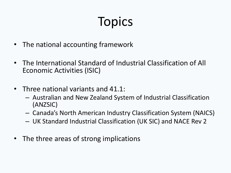# Topics

- The national accounting framework
- The International Standard of Industrial Classification of All Economic Activities (ISIC)
- Three national variants and 41.1:
	- Australian and New Zealand System of Industrial Classification (ANZSIC)
	- Canada's North American Industry Classification System (NAICS)
	- UK Standard Industrial Classification (UK SIC) and NACE Rev 2
- The three areas of strong implications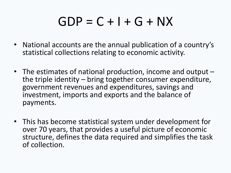#### $GDP = C + I + G + NX$

- National accounts are the annual publication of a country's statistical collections relating to economic activity.
- The estimates of national production, income and output –<br>the triple identity bring together consumer expenditure, government revenues and expenditures, savings and investment, imports and exports and the balance of payments.
- This has become statistical system under development for over 70 years, that provides a useful picture of economic structure, defines the data required and simplifies the task of collection.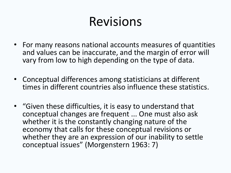#### Revisions

- For many reasons national accounts measures of quantities and values can be inaccurate, and the margin of error will vary from low to high depending on the type of data.
- Conceptual differences among statisticians at different times in different countries also influence these statistics.
- "Given these difficulties, it is easy to understand that conceptual changes are frequent ... One must also ask whether it is the constantly changing nature of the economy that calls for these conceptual revisions or whether they are an expression of our inability to settle conceptual issues" (Morgenstern 1963: 7)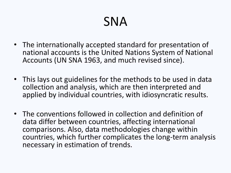## SNA

- The internationally accepted standard for presentation of national accounts is the United Nations System of National Accounts (UN SNA 1963, and much revised since).
- This lays out guidelines for the methods to be used in data collection and analysis, which are then interpreted and applied by individual countries, with idiosyncratic results.
- The conventions followed in collection and definition of data differ between countries, affecting international comparisons. Also, data methodologies change within countries, which further complicates the long-term analysis necessary in estimation of trends.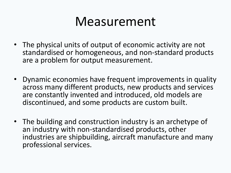#### Measurement

- The physical units of output of economic activity are not standardised or homogeneous, and non-standard products are a problem for output measurement.
- Dynamic economies have frequent improvements in quality across many different products, new products and services are constantly invented and introduced, old models are discontinued, and some products are custom built.
- The building and construction industry is an archetype of an industry with non-standardised products, other industries are shipbuilding, aircraft manufacture and many professional services.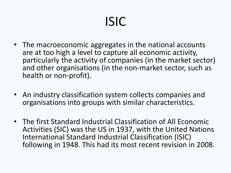# ISIC

- The macroeconomic aggregates in the national accounts are at too high a level to capture all economic activity, particularly the activity of companies (in the market sector) and other organisations (in the non-market sector, such as health or non-profit).
- An industry classification system collects companies and organisations into groups with similar characteristics.
- The first Standard Industrial Classification of All Economic Activities (SIC) was the US in 1937, with the United Nations International Standard Industrial Classification (ISIC) following in 1948. This had its most recent revision in 2008.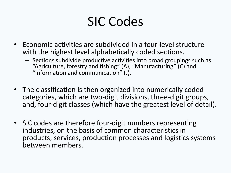### SIC Codes

- Economic activities are subdivided in a four-level structure with the highest level alphabetically coded sections.
	- Sections subdivide productive activities into broad groupings such as "Agriculture, forestry and fishing" (A), "Manufacturing" (C) and "Information and communication" (J).
- The classification is then organized into numerically coded categories, which are two-digit divisions, three-digit groups, and, four-digit classes (which have the greatest level of detail).
- SIC codes are therefore four-digit numbers representing industries, on the basis of common characteristics in products, services, production processes and logistics systems between members.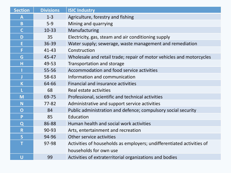| <b>Section</b>          | <b>Divisions</b> | <b>ISIC Industry</b>                                                  |  |  |
|-------------------------|------------------|-----------------------------------------------------------------------|--|--|
| $\overline{\mathsf{A}}$ | $1 - 3$          | Agriculture, forestry and fishing                                     |  |  |
| $\mathbf B$             | $5-9$            | Mining and quarrying                                                  |  |  |
| $\mathsf{C}$            | $10 - 33$        | Manufacturing                                                         |  |  |
| D                       | 35               | Electricity, gas, steam and air conditioning supply                   |  |  |
| E                       | 36-39            | Water supply; sewerage, waste management and remediation              |  |  |
| F                       | $41 - 43$        | Construction                                                          |  |  |
| G                       | 45-47            | Wholesale and retail trade; repair of motor vehicles and motorcycles  |  |  |
| H                       | 49-53            | Transportation and storage                                            |  |  |
|                         | 55-56            | Accommodation and food service activities                             |  |  |
| J                       | 58-63            | Information and communication                                         |  |  |
| $\mathsf K$             | 64-66            | <b>Financial and insurance activities</b>                             |  |  |
| L                       | 68               | Real estate activities                                                |  |  |
| M                       | 69-75            | Professional, scientific and technical activities                     |  |  |
| N                       | $77 - 82$        | Administrative and support service activities                         |  |  |
| $\mathbf O$             | 84               | Public administration and defence; compulsory social security         |  |  |
| P                       | 85               | Education                                                             |  |  |
| Q                       | 86-88            | Human health and social work activities                               |  |  |
| $\mathsf{R}$            | 90-93            | Arts, entertainment and recreation                                    |  |  |
| S                       | 94-96            | Other service activities                                              |  |  |
| T                       | 97-98            | Activities of households as employers; undifferentiated activities of |  |  |
|                         |                  | households for own use                                                |  |  |
| U                       | 99               | Activities of extraterritorial organizations and bodies               |  |  |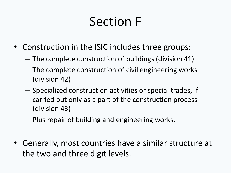## Section F

- Construction in the ISIC includes three groups:
	- The complete construction of buildings (division 41)
	- The complete construction of civil engineering works (division 42)
	- Specialized construction activities or special trades, if carried out only as a part of the construction process (division 43)
	- Plus repair of building and engineering works.
- Generally, most countries have a similar structure at the two and three digit levels.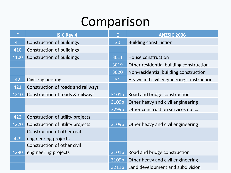#### Comparison

| F    | <b>ISIC Rev 4</b>                  | E     | <b>ANZSIC 2006</b>                       |  |
|------|------------------------------------|-------|------------------------------------------|--|
| 41   | <b>Construction of buildings</b>   |       | <b>Building construction</b>             |  |
| 410  | Construction of buildings          |       |                                          |  |
| 4100 | <b>Construction of buildings</b>   | 3011  | House construction                       |  |
|      |                                    | 3019  | Other residential building construction  |  |
|      |                                    | 3020  | Non-residential building construction    |  |
| 42   | Civil engineering                  | 31    | Heavy and civil engineering construction |  |
| 421  | Construction of roads and railways |       |                                          |  |
| 4210 | Construction of roads & railways   | 3101p | Road and bridge construction             |  |
|      |                                    | 3109p | Other heavy and civil engineering        |  |
|      |                                    | 3299p | Other construction services n.e.c.       |  |
| 422  | Construction of utility projects   |       |                                          |  |
| 4220 | Construction of utility projects   | 3109p | Other heavy and civil engineering        |  |
|      | Construction of other civil        |       |                                          |  |
| 429  | engineering projects               |       |                                          |  |
|      | Construction of other civil        |       |                                          |  |
| 4290 | engineering projects               | 3101p | Road and bridge construction             |  |
|      |                                    | 3109p | Other heavy and civil engineering        |  |
|      |                                    | 3211p | Land development and subdivision         |  |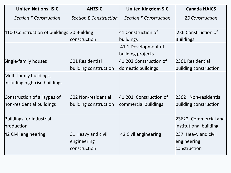| <b>United Nations ISIC</b>                                | <b>ANZSIC</b>                                     | <b>United Kingdom SIC</b>                      | <b>Canada NAICS</b>                                |  |
|-----------------------------------------------------------|---------------------------------------------------|------------------------------------------------|----------------------------------------------------|--|
| <b>Section F Construction</b>                             | <b>Section E Construction</b>                     | <b>Section F Construction</b>                  | 23 Construction                                    |  |
| 4100 Construction of buildings 30 Building                | construction                                      | 41 Construction of<br>buildings                | 236 Construction of<br><b>Buildings</b>            |  |
|                                                           |                                                   | 41.1 Development of<br>building projects       |                                                    |  |
| Single-family houses                                      | 301 Residential<br>building construction          | 41.202 Construction of<br>domestic buildings   | 2361 Residential<br>building construction          |  |
| Multi-family buildings,<br>including high-rise buildings  |                                                   |                                                |                                                    |  |
| Construction of all types of<br>non-residential buildings | 302 Non-residential<br>building construction      | 41.201 Construction of<br>commercial buildings | 2362 Non-residential<br>building construction      |  |
| Buildings for industrial<br>production                    |                                                   |                                                | 23622 Commercial and<br>institutional building     |  |
| 42 Civil engineering                                      | 31 Heavy and civil<br>engineering<br>construction | 42 Civil engineering                           | 237 Heavy and civil<br>engineering<br>construction |  |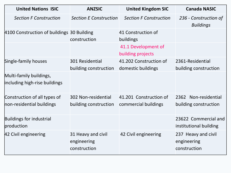| <b>United Nations ISIC</b>                                | <b>ANZSIC</b>                                     | <b>United Kingdom SIC</b>                      | <b>Canada NASIC</b>                                |  |
|-----------------------------------------------------------|---------------------------------------------------|------------------------------------------------|----------------------------------------------------|--|
| <b>Section F Construction</b>                             | <b>Section E Construction</b>                     | <b>Section F Construction</b>                  | 236 - Construction of<br><b>Buildings</b>          |  |
| 4100 Construction of buildings 30 Building                | construction                                      | 41 Construction of<br>buildings                |                                                    |  |
|                                                           |                                                   | 41.1 Development of<br>building projects       |                                                    |  |
| Single-family houses                                      | 301 Residential<br>building construction          | 41.202 Construction of<br>domestic buildings   | 2361-Residential<br>building construction          |  |
| Multi-family buildings,<br>including high-rise buildings  |                                                   |                                                |                                                    |  |
| Construction of all types of<br>non-residential buildings | 302 Non-residential<br>building construction      | 41.201 Construction of<br>commercial buildings | 2362 Non-residential<br>building construction      |  |
| Buildings for industrial<br>production                    |                                                   |                                                | 23622 Commercial and<br>institutional building     |  |
| 42 Civil engineering                                      | 31 Heavy and civil<br>engineering<br>construction | 42 Civil engineering                           | 237 Heavy and civil<br>engineering<br>construction |  |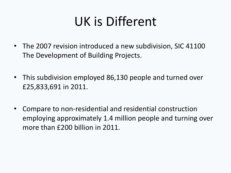## UK is Different

- The 2007 revision introduced a new subdivision, SIC 41100 The Development of Building Projects.
- This subdivision employed 86,130 people and turned over £25,833,691 in 2011.
- Compare to non-residential and residential construction employing approximately 1.4 million people and turning over more than £200 billion in 2011.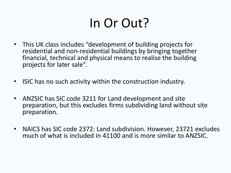## In Or Out?

- This UK class includes "development of building projects for residential and non-residential buildings by bringing together financial, technical and physical means to realise the building projects for later sale".
- ISIC has no such activity within the construction industry.
- ANZSIC has SIC code 3211 for Land development and site preparation, but this excludes firms subdividing land without site preparation.
- NAICS has SIC code 2372: Land subdivision. However, 23721 excludes much of what is included in 41100 and is more similar to ANZSIC.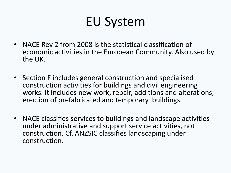## EU System

- NACE Rev 2 from 2008 is the statistical classification of economic activities in the European Community. Also used by the UK.
- Section F includes general construction and specialised construction activities for buildings and civil engineering works. It includes new work, repair, additions and alterations, erection of prefabricated and temporary buildings.
- NACE classifies services to buildings and landscape activities under administrative and support service activities, not construction. Cf. ANZSIC classifies landscaping under construction.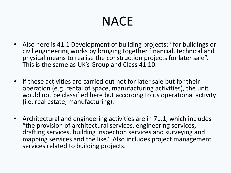# **NACE**

- Also here is 41.1 Development of building projects: "for buildings or civil engineering works by bringing together financial, technical and physical means to realise the construction projects for later sale". This is the same as UK's Group and Class 41.10.
- If these activities are carried out not for later sale but for their operation (e.g. rental of space, manufacturing activities), the unit would not be classified here but according to its operational activity (i.e. real estate, manufacturing).
- Architectural and engineering activities are in 71.1, which includes "the provision of architectural services, engineering services, drafting services, building inspection services and surveying and mapping services and the like." Also includes project management services related to building projects.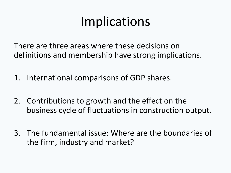## Implications

There are three areas where these decisions on definitions and membership have strong implications.

- 1. International comparisons of GDP shares.
- 2. Contributions to growth and the effect on the business cycle of fluctuations in construction output.
- 3. The fundamental issue: Where are the boundaries of the firm, industry and market?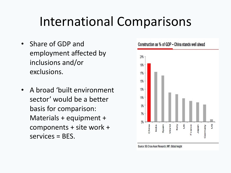#### International Comparisons

- Share of GDP and employment affected by inclusions and/or exclusions.
- A broad 'built environment sector' would be a better basis for comparison: Materials + equipment + components + site work + services = BES.



#### Construction as % of GDP - China stands well ahead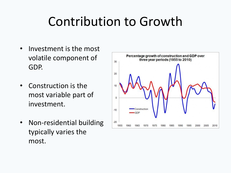### Contribution to Growth

- Investment is the most volatile component of GDP.
- Construction is the most variable part of investment.
- Non-residential building typically varies the most.

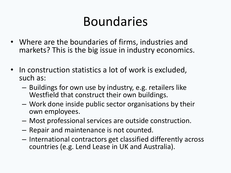#### Boundaries

- Where are the boundaries of firms, industries and markets? This is the big issue in industry economics.
- In construction statistics a lot of work is excluded, such as:
	- Buildings for own use by industry, e.g. retailers like Westfield that construct their own buildings.
	- Work done inside public sector organisations by their own employees.
	- Most professional services are outside construction.
	- Repair and maintenance is not counted.
	- International contractors get classified differently across countries (e.g. Lend Lease in UK and Australia).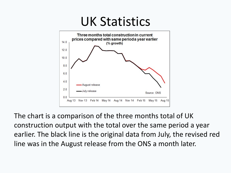

The chart is a comparison of the three months total of UK construction output with the total over the same period a year earlier. The black line is the original data from July, the revised red line was in the August release from the ONS a month later.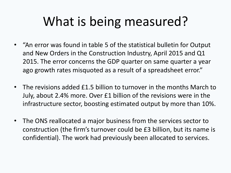# What is being measured?

- "An error was found in table 5 of the statistical bulletin for Output and New Orders in the Construction Industry, April 2015 and Q1 2015. The error concerns the GDP quarter on same quarter a year ago growth rates misquoted as a result of a spreadsheet error."
- The revisions added £1.5 billion to turnover in the months March to July, about 2.4% more. Over £1 billion of the revisions were in the infrastructure sector, boosting estimated output by more than 10%.
- The ONS reallocated a major business from the services sector to construction (the firm's turnover could be £3 billion, but its name is confidential). The work had previously been allocated to services.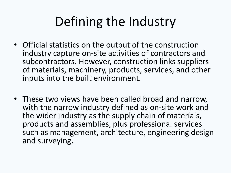## Defining the Industry

- Official statistics on the output of the construction industry capture on-site activities of contractors and subcontractors. However, construction links suppliers of materials, machinery, products, services, and other inputs into the built environment.
- These two views have been called broad and narrow, with the narrow industry defined as on-site work and the wider industry as the supply chain of materials, products and assemblies, plus professional services such as management, architecture, engineering design and surveying.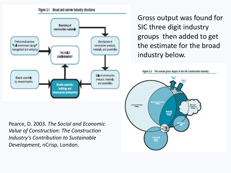



Gross output was found for SIC three digit industry groups then added to get the estimate for the broad industry below.



Pearce, D. 2003. *The Social and Economic Value of Construction: The Construction Industry's Contribution to Sustainable Development*, nCrisp, London.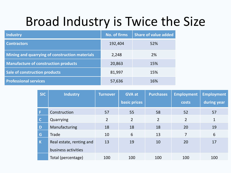#### Broad Industry is Twice the Size

| <b>Industry</b>                                | <b>No. of firms</b> | <b>Share of value added</b> |
|------------------------------------------------|---------------------|-----------------------------|
| <b>Contractors</b>                             | 192,404             | 52%                         |
| Mining and quarrying of construction materials | 2,248               | 2%                          |
| <b>Manufacture of construction products</b>    | 20,863              | 15%                         |
| Sale of construction products                  | 81,997              | 15%                         |
| <b>Professional services</b>                   | 57,636              | 16%                         |

| <b>SIC</b>  | <b>Industry</b>          | <b>Turnover</b> | <b>GVA at</b><br>basic prices | <b>Purchases</b> | <b>Employment</b><br>costs | <b>Employment</b><br>during year |
|-------------|--------------------------|-----------------|-------------------------------|------------------|----------------------------|----------------------------------|
| Æ           | Construction             | 57              | 55                            | 58               | 52                         | 57                               |
| $\mathbf C$ | Quarrying                | $\overline{2}$  | $\overline{2}$                | $\overline{2}$   | $\overline{2}$             | $\mathbf{1}$                     |
| D           | Manufacturing            | 18              | 18                            | 18               | 20                         | 19                               |
| G           | Trade                    | 10              | 6                             | 13               | $\overline{7}$             | 6                                |
| $\mathbf K$ | Real estate, renting and | 13              | 19                            | 10               | 20                         | 17                               |
|             | business activities      |                 |                               |                  |                            |                                  |
|             | Total (percentage)       | 100             | 100                           | 100              | 100                        | 100                              |